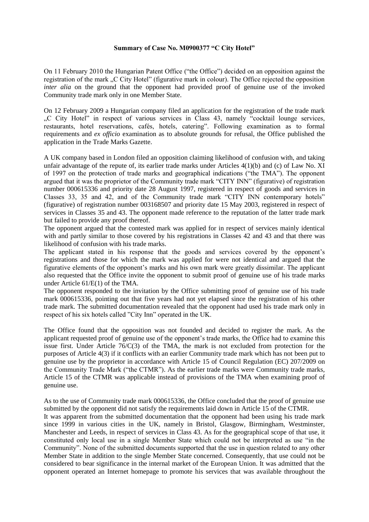## **Summary of Case No. M0900377 "C City Hotel"**

On 11 February 2010 the Hungarian Patent Office ("the Office") decided on an opposition against the registration of the mark ...C City Hotel" (figurative mark in colour). The Office rejected the opposition *inter alia* on the ground that the opponent had provided proof of genuine use of the invoked Community trade mark only in one Member State.

On 12 February 2009 a Hungarian company filed an application for the registration of the trade mark "C City Hotel" in respect of various services in Class 43, namely "cocktail lounge services, restaurants, hotel reservations, cafés, hotels, catering". Following examination as to formal requirements and *ex officio* examination as to absolute grounds for refusal, the Office published the application in the Trade Marks Gazette.

A UK company based in London filed an opposition claiming likelihood of confusion with, and taking unfair advantage of the repute of, its earlier trade marks under Articles 4(1)(b) and (c) of Law No. XI of 1997 on the protection of trade marks and geographical indications ("the TMA"). The opponent argued that it was the proprietor of the Community trade mark "CITY INN" (figurative) of registration number 000615336 and priority date 28 August 1997, registered in respect of goods and services in Classes 33, 35 and 42, and of the Community trade mark "CITY INN contemporary hotels" (figurative) of registration number 003168507 and priority date 15 May 2003, registered in respect of services in Classes 35 and 43. The opponent made reference to the reputation of the latter trade mark but failed to provide any proof thereof.

The opponent argued that the contested mark was applied for in respect of services mainly identical with and partly similar to those covered by his registrations in Classes 42 and 43 and that there was likelihood of confusion with his trade marks.

The applicant stated in his response that the goods and services covered by the opponent's registrations and those for which the mark was applied for were not identical and argued that the figurative elements of the opponent's marks and his own mark were greatly dissimilar. The applicant also requested that the Office invite the opponent to submit proof of genuine use of his trade marks under Article 61/E(1) of the TMA.

The opponent responded to the invitation by the Office submitting proof of genuine use of his trade mark 000615336, pointing out that five years had not yet elapsed since the registration of his other trade mark. The submitted documentation revealed that the opponent had used his trade mark only in respect of his six hotels called "City Inn" operated in the UK.

The Office found that the opposition was not founded and decided to register the mark. As the applicant requested proof of genuine use of the opponent's trade marks, the Office had to examine this issue first. Under Article  $76/C(3)$  of the TMA, the mark is not excluded from protection for the purposes of Article 4(3) if it conflicts with an earlier Community trade mark which has not been put to genuine use by the proprietor in accordance with Article 15 of Council Regulation (EC) 207/2009 on the Community Trade Mark ("the CTMR"). As the earlier trade marks were Community trade marks, Article 15 of the CTMR was applicable instead of provisions of the TMA when examining proof of genuine use.

As to the use of Community trade mark 000615336, the Office concluded that the proof of genuine use submitted by the opponent did not satisfy the requirements laid down in Article 15 of the CTMR.

It was apparent from the submitted documentation that the opponent had been using his trade mark since 1999 in various cities in the UK, namely in Bristol, Glasgow, Birmingham, Westminster, Manchester and Leeds, in respect of services in Class 43. As for the geographical scope of that use, it constituted only local use in a single Member State which could not be interpreted as use "in the Community". None of the submitted documents supported that the use in question related to any other Member State in addition to the single Member State concerned. Consequently, that use could not be considered to bear significance in the internal market of the European Union. It was admitted that the opponent operated an Internet homepage to promote his services that was available throughout the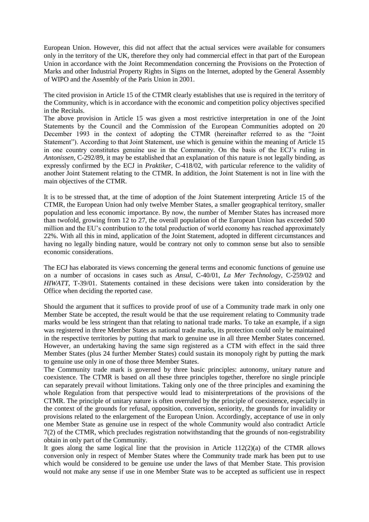European Union. However, this did not affect that the actual services were available for consumers only in the territory of the UK, therefore they only had commercial effect in that part of the European Union in accordance with the Joint Recommendation concerning the Provisions on the Protection of Marks and other Industrial Property Rights in Signs on the Internet, adopted by the General Assembly of WIPO and the Assembly of the Paris Union in 2001.

The cited provision in Article 15 of the CTMR clearly establishes that use is required in the territory of the Community, which is in accordance with the economic and competition policy objectives specified in the Recitals.

The above provision in Article 15 was given a most restrictive interpretation in one of the Joint Statements by the Council and the Commission of the European Communities adopted on 20 December 1993 in the context of adopting the CTMR (hereinafter referred to as the "Joint Statement"). According to that Joint Statement, use which is genuine within the meaning of Article 15 in one country constitutes genuine use in the Community. On the basis of the ECJ's ruling in *Antonissen*, C-292/89, it may be established that an explanation of this nature is not legally binding, as expressly confirmed by the ECJ in *Praktiker*, C-418/02, with particular reference to the validity of another Joint Statement relating to the CTMR. In addition, the Joint Statement is not in line with the main objectives of the CTMR.

It is to be stressed that, at the time of adoption of the Joint Statement interpreting Article 15 of the CTMR, the European Union had only twelve Member States, a smaller geographical territory, smaller population and less economic importance. By now, the number of Member States has increased more than twofold, growing from 12 to 27, the overall population of the European Union has exceeded 500 million and the EU's contribution to the total production of world economy has reached approximately 22%. With all this in mind, application of the Joint Statement, adopted in different circumstances and having no legally binding nature, would be contrary not only to common sense but also to sensible economic considerations.

The ECJ has elaborated its views concerning the general terms and economic functions of genuine use on a number of occasions in cases such as *Ansul*, C-40/01, *La Mer Technology*, C-259/02 and *HIWATT*, T-39/01. Statements contained in these decisions were taken into consideration by the Office when deciding the reported case.

Should the argument that it suffices to provide proof of use of a Community trade mark in only one Member State be accepted, the result would be that the use requirement relating to Community trade marks would be less stringent than that relating to national trade marks. To take an example, if a sign was registered in three Member States as national trade marks, its protection could only be maintained in the respective territories by putting that mark to genuine use in all three Member States concerned. However, an undertaking having the same sign registered as a CTM with effect in the said three Member States (plus 24 further Member States) could sustain its monopoly right by putting the mark to genuine use only in one of those three Member States.

The Community trade mark is governed by three basic principles: autonomy, unitary nature and coexistence. The CTMR is based on all these three principles together, therefore no single principle can separately prevail without limitations. Taking only one of the three principles and examining the whole Regulation from that perspective would lead to misinterpretations of the provisions of the CTMR. The principle of unitary nature is often overruled by the principle of coexistence, especially in the context of the grounds for refusal, opposition, conversion, seniority, the grounds for invalidity or provisions related to the enlargement of the European Union. Accordingly, acceptance of use in only one Member State as genuine use in respect of the whole Community would also contradict Article 7(2) of the CTMR, which precludes registration notwithstanding that the grounds of non-registrability obtain in only part of the Community.

It goes along the same logical line that the provision in Article  $112(2)(a)$  of the CTMR allows conversion only in respect of Member States where the Community trade mark has been put to use which would be considered to be genuine use under the laws of that Member State. This provision would not make any sense if use in one Member State was to be accepted as sufficient use in respect